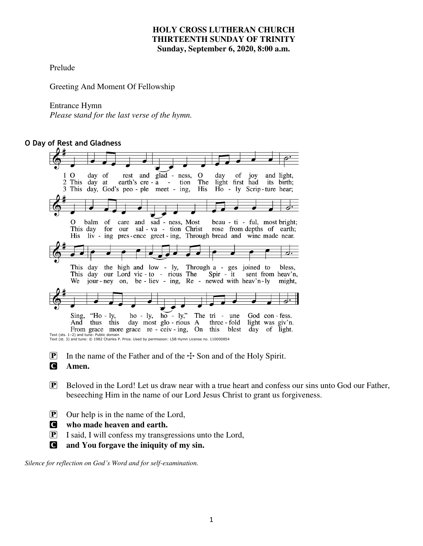# **HOLY CROSS LUTHERAN CHURCH THIRTEENTH SUNDAY OF TRINITY Sunday, September 6, 2020, 8:00 a.m.**

Prelude

Greeting And Moment Of Fellowship

### Entrance Hymn

*Please* s*tand for the last verse of the hymn.* 

# **O Day of Rest and Gladness**

| day of rest and glad - ness, O<br>day of joy and light,<br>$\overline{O}$                          |
|----------------------------------------------------------------------------------------------------|
| 2 This day at earth's cre-a - tion The light first had its birth;                                  |
| 3 This day, God's peo - ple meet - ing,<br>His Ho - ly Scrip-ture hear;                            |
|                                                                                                    |
|                                                                                                    |
|                                                                                                    |
|                                                                                                    |
| balm of care and sad - ness, Most beau - ti - ful, most bright;<br>$\Omega$                        |
| This day for our sal-va-tion Christ rose from depths of earth;                                     |
|                                                                                                    |
| His liv - ing pres-ence greet - ing, Through bread and wine made near.                             |
|                                                                                                    |
|                                                                                                    |
|                                                                                                    |
|                                                                                                    |
| This day the high and low - ly, Through a - ges joined to bless,                                   |
| This day our Lord vic - to - rious The Spir - it sent from heav'n,                                 |
| We jour-ney on, be-liev - ing, $Re$ - newed with heav'n-ly<br>might,                               |
|                                                                                                    |
|                                                                                                    |
|                                                                                                    |
|                                                                                                    |
| Sing, "Ho - ly, ho - ly, ho - ly," The tri - une God con - fess.                                   |
| day most glo - rious A three - fold<br>light was giv'n.<br>thus this<br>And                        |
| From grace more grace re - ceiv - ing, On this blest<br>day of light.                              |
| Text (sts. 1-2) and tune: Public domain                                                            |
| Text (st. 3) and tune: © 1982 Charles P. Price. Used by permission: LSB Hymn License no. 110000854 |

**P** In the name of the Father and of the  $\pm$  Son and of the Holy Spirit. C **Amen.** 

- P Beloved in the Lord! Let us draw near with a true heart and confess our sins unto God our Father, beseeching Him in the name of our Lord Jesus Christ to grant us forgiveness.
- $\boxed{\mathbf{P}}$  Our help is in the name of the Lord,
- C **who made heaven and earth.**
- P I said, I will confess my transgressions unto the Lord,
- C **and You forgave the iniquity of my sin.**

*Silence for reflection on God's Word and for self-examination.*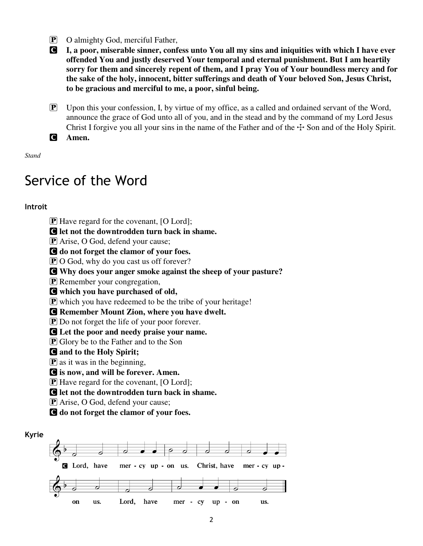P O almighty God, merciful Father,

C **I, a poor, miserable sinner, confess unto You all my sins and iniquities with which I have ever offended You and justly deserved Your temporal and eternal punishment. But I am heartily sorry for them and sincerely repent of them, and I pray You of Your boundless mercy and for the sake of the holy, innocent, bitter sufferings and death of Your beloved Son, Jesus Christ, to be gracious and merciful to me, a poor, sinful being.** 

 $\mathbf{P}$  Upon this your confession, I, by virtue of my office, as a called and ordained servant of the Word, announce the grace of God unto all of you, and in the stead and by the command of my Lord Jesus Christ I forgive you all your sins in the name of the Father and of the  $\pm$  Son and of the Holy Spirit.

C **Amen.** 

*Stand* 

# Service of the Word

# **Introit**

 $\bf{P}$  Have regard for the covenant,  $\bf{[O~Lord]}$ ;

C **let not the downtrodden turn back in shame.** 

**P** Arise, O God, defend your cause;

C **do not forget the clamor of your foes.** 

**P** O God, why do you cast us off forever?

C **Why does your anger smoke against the sheep of your pasture?** 

**P** Remember your congregation,

C **which you have purchased of old,** 

 $\mathbf P$  which you have redeemed to be the tribe of your heritage!

C **Remember Mount Zion, where you have dwelt.** 

**P** Do not forget the life of your poor forever.

C **Let the poor and needy praise your name.** 

 $\bf{P}$  Glory be to the Father and to the Son

# C **and to the Holy Spirit;**

 $\bf{P}$  as it was in the beginning,

C **is now, and will be forever. Amen.** 

**P** Have regard for the covenant, [O Lord];

C **let not the downtrodden turn back in shame.** 

P Arise, O God, defend your cause;

C **do not forget the clamor of your foes.** 

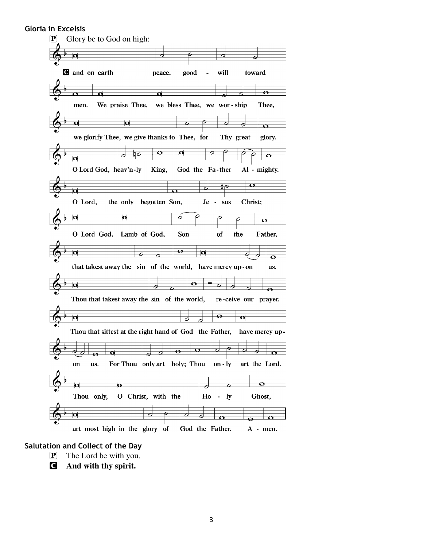# **Gloria in Excelsis**



#### **Salutation and Collect of the Day**

- P The Lord be with you.
- C **And with thy spirit.**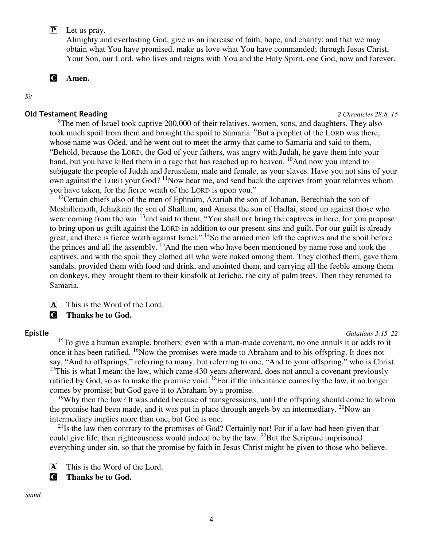P Let us pray.

Almighty and everlasting God, give us an increase of faith, hope, and charity; and that we may obtain what You have promised, make us love what You have commanded; through Jesus Christ, Your Son, our Lord, who lives and reigns with You and the Holy Spirit, one God, now and forever.

C **Amen.** 

*Sit* 

### **Old Testament Reading** *2 Chronicles 28:8–15*

 ${}^{8}$ The men of Israel took captive 200,000 of their relatives, women, sons, and daughters. They also

took much spoil from them and brought the spoil to Samaria. <sup>9</sup>But a prophet of the LORD was there, whose name was Oded, and he went out to meet the army that came to Samaria and said to them, "Behold, because the LORD, the God of your fathers, was angry with Judah, he gave them into your hand, but you have killed them in a rage that has reached up to heaven. <sup>10</sup>And now you intend to subjugate the people of Judah and Jerusalem, male and female, as your slaves. Have you not sins of your own against the LORD your God? <sup>11</sup>Now hear me, and send back the captives from your relatives whom you have taken, for the fierce wrath of the LORD is upon you."

<sup>12</sup>Certain chiefs also of the men of Ephraim, Azariah the son of Johanan, Berechiah the son of Meshillemoth, Jehizkiah the son of Shallum, and Amasa the son of Hadlai, stood up against those who were coming from the war <sup>13</sup>and said to them, "You shall not bring the captives in here, for you propose to bring upon us guilt against the LORD in addition to our present sins and guilt. For our guilt is already great, and there is fierce wrath against Israel." <sup>14</sup>So the armed men left the captives and the spoil before the princes and all the assembly. <sup>15</sup>And the men who have been mentioned by name rose and took the captives, and with the spoil they clothed all who were naked among them. They clothed them, gave them sandals, provided them with food and drink, and anointed them, and carrying all the feeble among them on donkeys, they brought them to their kinsfolk at Jericho, the city of palm trees. Then they returned to Samaria.

A This is the Word of the Lord.

C **Thanks be to God.** 

#### **Epistle** *Galatians 3:15–22*

 $15T\sigma$  give a human example, brothers: even with a man-made covenant, no one annuls it or adds to it once it has been ratified. <sup>16</sup>Now the promises were made to Abraham and to his offspring. It does not say, "And to offsprings," referring to many, but referring to one, "And to your offspring," who is Christ.  $17$ This is what I mean: the law, which came 430 years afterward, does not annul a covenant previously ratified by God, so as to make the promise void.  $^{18}$ For if the inheritance comes by the law, it no longer comes by promise; but God gave it to Abraham by a promise.

<sup>19</sup>Why then the law? It was added because of transgressions, until the offspring should come to whom the promise had been made, and it was put in place through angels by an intermediary.  $^{20}$ Now an intermediary implies more than one, but God is one.

 $^{21}$ Is the law then contrary to the promises of God? Certainly not! For if a law had been given that could give life, then righteousness would indeed be by the law.  $^{22}$ But the Scripture imprisoned everything under sin, so that the promise by faith in Jesus Christ might be given to those who believe.

A This is the Word of the Lord.

C **Thanks be to God.**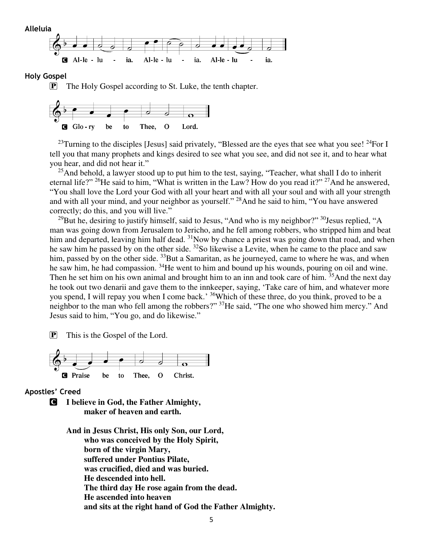

#### **Holy Gospel**

P The Holy Gospel according to St. Luke, the tenth chapter.



<sup>23</sup>Turning to the disciples [Jesus] said privately, "Blessed are the eyes that see what you see!  $^{24}$ For I tell you that many prophets and kings desired to see what you see, and did not see it, and to hear what you hear, and did not hear it."

<sup>25</sup>And behold, a lawyer stood up to put him to the test, saying, "Teacher, what shall I do to inherit eternal life?" <sup>26</sup>He said to him, "What is written in the Law? How do you read it?" <sup>27</sup>And he answered, "You shall love the Lord your God with all your heart and with all your soul and with all your strength and with all your mind, and your neighbor as yourself." <sup>28</sup>And he said to him, "You have answered correctly; do this, and you will live."

 $29$ But he, desiring to justify himself, said to Jesus, "And who is my neighbor?"  $30$ Jesus replied, "A man was going down from Jerusalem to Jericho, and he fell among robbers, who stripped him and beat him and departed, leaving him half dead. <sup>31</sup>Now by chance a priest was going down that road, and when he saw him he passed by on the other side.  $32$ So likewise a Levite, when he came to the place and saw him, passed by on the other side. <sup>33</sup>But a Samaritan, as he journeyed, came to where he was, and when he saw him, he had compassion. <sup>34</sup>He went to him and bound up his wounds, pouring on oil and wine. Then he set him on his own animal and brought him to an inn and took care of him. <sup>35</sup>And the next day he took out two denarii and gave them to the innkeeper, saying, 'Take care of him, and whatever more you spend, I will repay you when I come back.<sup>, 36</sup>Which of these three, do you think, proved to be a neighbor to the man who fell among the robbers?" <sup>37</sup>He said, "The one who showed him mercy." And Jesus said to him, "You go, and do likewise."

P This is the Gospel of the Lord.



**Apostles' Creed** 

C **I believe in God, the Father Almighty, maker of heaven and earth.** 

> **And in Jesus Christ, His only Son, our Lord, who was conceived by the Holy Spirit, born of the virgin Mary, suffered under Pontius Pilate, was crucified, died and was buried. He descended into hell. The third day He rose again from the dead. He ascended into heaven and sits at the right hand of God the Father Almighty.**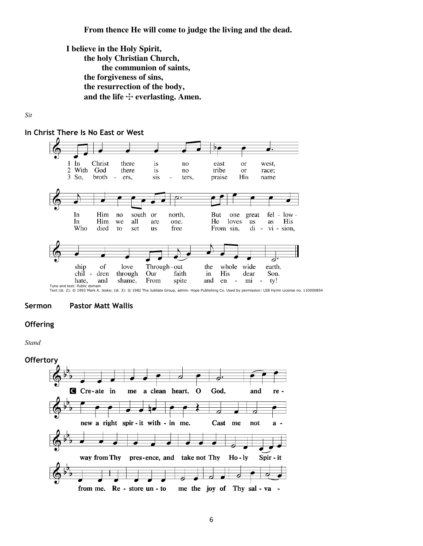#### **From thence He will come to judge the living and the dead.**

**I believe in the Holy Spirit, the holy Christian Church, the communion of saints, the forgiveness of sins, the resurrection of the body,**  and the life  $\div$  everlasting. Amen.

#### *Sit*





Tune and text: Public domain<br>Text (st. 2): © 1993 Mark A. Jeske; (st. 3): © 1982 The Jubilate Group, admin. Hope Publishing Co. Used by permission: LSB Hymn License no. 110000854

#### **Sermon Pastor Matt Wallis**

# **Offering**

*Stand* 

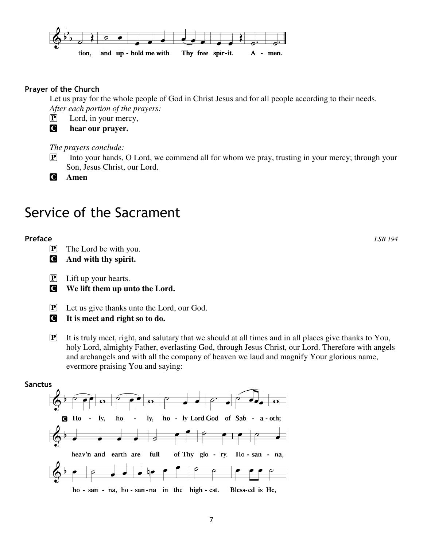

# **Prayer of the Church**

Let us pray for the whole people of God in Christ Jesus and for all people according to their needs. *After each portion of the prayers:* 

P Lord, in your mercy,

C **hear our prayer.** 

*The prayers conclude:* 

**P** Into your hands, O Lord, we commend all for whom we pray, trusting in your mercy; through your Son, Jesus Christ, our Lord.

C **Amen** 

# Service of the Sacrament

# **Preface** *LSB 194*

- P The Lord be with you.
- C **And with thy spirit.**
- P Lift up your hearts.

C **We lift them up unto the Lord.** 

P Let us give thanks unto the Lord, our God.

C **It is meet and right so to do.** 

 $\boxed{\mathbf{P}}$  It is truly meet, right, and salutary that we should at all times and in all places give thanks to You, holy Lord, almighty Father, everlasting God, through Jesus Christ, our Lord. Therefore with angels and archangels and with all the company of heaven we laud and magnify Your glorious name, evermore praising You and saying:

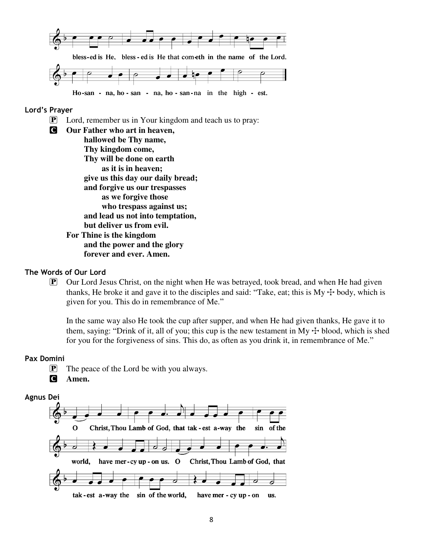

# **Lord's Prayer**

- P Lord, remember us in Your kingdom and teach us to pray:
- C **Our Father who art in heaven, hallowed be Thy name, Thy kingdom come, Thy will be done on earth as it is in heaven; give us this day our daily bread; and forgive us our trespasses as we forgive those who trespass against us; and lead us not into temptation, but deliver us from evil. For Thine is the kingdom and the power and the glory forever and ever. Amen.**

# **The Words of Our Lord**

 $\mathbf{P}$  Our Lord Jesus Christ, on the night when He was betrayed, took bread, and when He had given thanks, He broke it and gave it to the disciples and said: "Take, eat; this is  $My + body$ , which is given for you. This do in remembrance of Me."

In the same way also He took the cup after supper, and when He had given thanks, He gave it to them, saying: "Drink of it, all of you; this cup is the new testament in My  $\pm$  blood, which is shed for you for the forgiveness of sins. This do, as often as you drink it, in remembrance of Me."

#### **Pax Domini**

- $\mathbf{P}$  The peace of the Lord be with you always.
- C **Amen.**

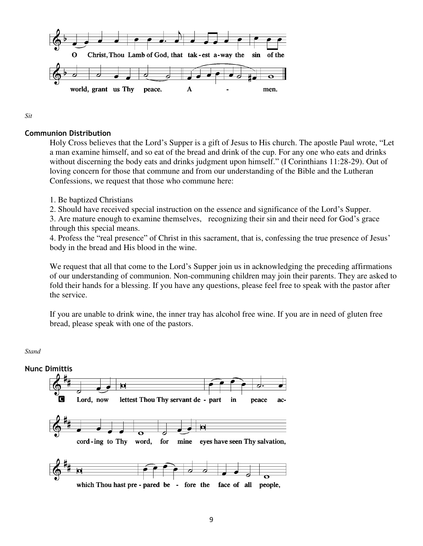

*Sit* 

# **Communion Distribution**

Holy Cross believes that the Lord's Supper is a gift of Jesus to His church. The apostle Paul wrote, "Let a man examine himself, and so eat of the bread and drink of the cup. For any one who eats and drinks without discerning the body eats and drinks judgment upon himself." (I Corinthians 11:28-29). Out of loving concern for those that commune and from our understanding of the Bible and the Lutheran Confessions, we request that those who commune here:

1. Be baptized Christians

2. Should have received special instruction on the essence and significance of the Lord's Supper.

3. Are mature enough to examine themselves, recognizing their sin and their need for God's grace through this special means.

4. Profess the "real presence" of Christ in this sacrament, that is, confessing the true presence of Jesus' body in the bread and His blood in the wine.

We request that all that come to the Lord's Supper join us in acknowledging the preceding affirmations of our understanding of communion. Non-communing children may join their parents. They are asked to fold their hands for a blessing. If you have any questions, please feel free to speak with the pastor after the service.

If you are unable to drink wine, the inner tray has alcohol free wine. If you are in need of gluten free bread, please speak with one of the pastors.

*Stand* 

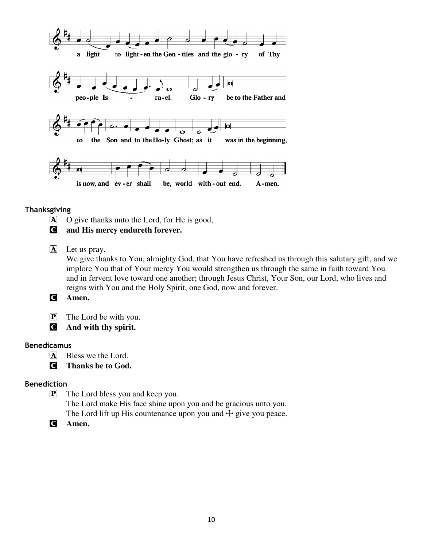

# **Thanksgiving**

A O give thanks unto the Lord, for He is good,

C **and His mercy endureth forever.** 

A Let us pray.

We give thanks to You, almighty God, that You have refreshed us through this salutary gift, and we implore You that of Your mercy You would strengthen us through the same in faith toward You and in fervent love toward one another; through Jesus Christ, Your Son, our Lord, who lives and reigns with You and the Holy Spirit, one God, now and forever.

- C **Amen.**
- **P** The Lord be with you.
- C **And with thy spirit.**

# **Benedicamus**

- A Bless we the Lord.
- C **Thanks be to God.**

# **Benediction**

P The Lord bless you and keep you. The Lord make His face shine upon you and be gracious unto you. The Lord lift up His countenance upon you and  $\pm$  give you peace.

C **Amen.**